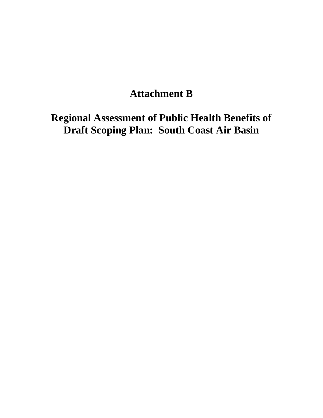# **Attachment B**

 **Regional Assessment of Public Health Benefits of Draft Scoping Plan: South Coast Air Basin**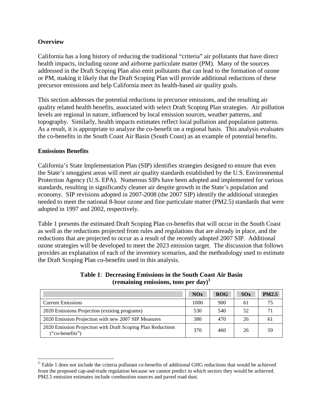# **Overview**

 California has a long history of reducing the traditional "criteria" air pollutants that have direct health impacts, including ozone and airborne particulate matter (PM). Many of the sources addressed in the Draft Scoping Plan also emit pollutants that can lead to the formation of ozone or PM, making it likely that the Draft Scoping Plan will provide additional reductions of these precursor emissions and help California meet its health-based air quality goals.

 This section addresses the potential reductions in precursor emissions, and the resulting air quality related health benefits, associated with select Draft Scoping Plan strategies. Air pollution levels are regional in nature, influenced by local emission sources, weather patterns, and topography. Similarly, health impacts estimates reflect local pollution and population patterns. As a result, it is appropriate to analyze the co-benefit on a regional basis. This analysis evaluates the co-benefits in the South Coast Air Basin (South Coast) as an example of potential benefits.

#### **Emissions Benefits**

1

 California's State Implementation Plan (SIP) identifies strategies designed to ensure that even the State's smoggiest areas will meet air quality standards established by the U.S. Environmental Protection Agency (U.S. EPA). Numerous SIPs have been adopted and implemented for various standards, resulting in significantly cleaner air despite growth in the State's population and economy. SIP revisions adopted in 2007-2008 (the 2007 SIP) identify the additional strategies needed to meet the national 8-hour ozone and fine particulate matter (PM2.5) standards that were adopted in 1997 and 2002, respectively.

 Table 1 presents the estimated Draft Scoping Plan co-benefits that will occur in the South Coast as well as the reductions projected from rules and regulations that are already in place, and the reductions that are projected to occur as a result of the recently adopted 2007 SIP. Additional ozone strategies will be developed to meet the 2023 emission target. The discussion that follows provides an explanation of each of the inventory scenarios, and the methodology used to estimate the Draft Scoping Plan co-benefits used in this analysis.

|                                                                                | NOx  | ROG | SOX | <b>PM2.5</b> |
|--------------------------------------------------------------------------------|------|-----|-----|--------------|
| <b>Current Emissions</b>                                                       | 1000 | 900 | 61  | 75           |
| 2020 Emissions Projection (existing programs)                                  | 530  | 540 | 52  |              |
| 2020 Emission Projection with new 2007 SIP Measures                            | 380  | 470 | 26  | 6 I          |
| 2020 Emission Projection with Draft Scoping Plan Reductions<br>("co-benefits") | 370  | 460 | 26  | 59           |

# **Table 1**: **Decreasing Emissions in the South Coast Air Basin (remaining emissions, tons per day)1**

 from the proposed cap-and-trade regulation because we cannot predict in which sectors they would be achieved. PM2.5 emission estimates include combustion sources and paved road dust.  $<sup>1</sup>$  Table 1 does not include the criteria pollutant co-benefits of additional GHG reductions that would be achieved</sup>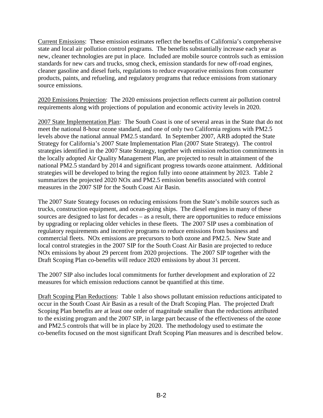Current Emissions: These emission estimates reflect the benefits of California's comprehensive state and local air pollution control programs. The benefits substantially increase each year as new, cleaner technologies are put in place. Included are mobile source controls such as emission standards for new cars and trucks, smog check, emission standards for new off-road engines, cleaner gasoline and diesel fuels, regulations to reduce evaporative emissions from consumer products, paints, and refueling, and regulatory programs that reduce emissions from stationary source emissions.

 2020 Emissions Projection: The 2020 emissions projection reflects current air pollution control requirements along with projections of population and economic activity levels in 2020.

2007 State Implementation Plan: The South Coast is one of several areas in the State that do not meet the national 8-hour ozone standard, and one of only two California regions with PM2.5 levels above the national annual PM2.5 standard. In September 2007, ARB adopted the State Strategy for California's 2007 State Implementation Plan (2007 State Strategy). The control strategies identified in the 2007 State Strategy, together with emission reduction commitments in the locally adopted Air Quality Management Plan, are projected to result in attainment of the national PM2.5 standard by 2014 and significant progress towards ozone attainment. Additional strategies will be developed to bring the region fully into ozone attainment by 2023. Table 2 summarizes the projected 2020 NOx and PM2.5 emission benefits associated with control measures in the 2007 SIP for the South Coast Air Basin.

 The 2007 State Strategy focuses on reducing emissions from the State's mobile sources such as trucks, construction equipment, and ocean-going ships. The diesel engines in many of these sources are designed to last for decades – as a result, there are opportunities to reduce emissions by upgrading or replacing older vehicles in these fleets. The 2007 SIP uses a combination of regulatory requirements and incentive programs to reduce emissions from business and commercial fleets. NOx emissions are precursors to both ozone and PM2.5. New State and local control strategies in the 2007 SIP for the South Coast Air Basin are projected to reduce NOx emissions by about 29 percent from 2020 projections. The 2007 SIP together with the Draft Scoping Plan co-benefits will reduce 2020 emissions by about 31 percent.

 The 2007 SIP also includes local commitments for further development and exploration of 22 measures for which emission reductions cannot be quantified at this time.

Draft Scoping Plan Reductions: Table 1 also shows pollutant emission reductions anticipated to occur in the South Coast Air Basin as a result of the Draft Scoping Plan. The projected Draft Scoping Plan benefits are at least one order of magnitude smaller than the reductions attributed to the existing program and the 2007 SIP, in large part because of the effectiveness of the ozone and PM2.5 controls that will be in place by 2020. The methodology used to estimate the co-benefits focused on the most significant Draft Scoping Plan measures and is described below.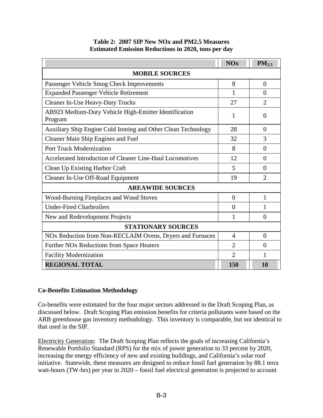|  | Table 2: 2007 SIP New NOx and PM2.5 Measures               |  |
|--|------------------------------------------------------------|--|
|  | <b>Estimated Emission Reductions in 2020, tons per day</b> |  |

|                                                                  | <b>NOx</b>     | $PM_{2.5}$     |  |
|------------------------------------------------------------------|----------------|----------------|--|
| <b>MOBILE SOURCES</b>                                            |                |                |  |
| Passenger Vehicle Smog Check Improvements                        | 8              | $\overline{0}$ |  |
| <b>Expanded Passenger Vehicle Retirement</b>                     | 1              | $\theta$       |  |
| <b>Cleaner In-Use Heavy-Duty Trucks</b>                          | 27             | $\overline{2}$ |  |
| AB923 Medium-Duty Vehicle High-Emitter Identification<br>Program | 1              | $\Omega$       |  |
| Auxiliary Ship Engine Cold Ironing and Other Clean Technology    | 28             | $\theta$       |  |
| Cleaner Main Ship Engines and Fuel                               | 32             | 3              |  |
| <b>Port Truck Modernization</b>                                  | 8              | $\overline{0}$ |  |
| Accelerated Introduction of Cleaner Line-Haul Locomotives        | 12             | $\Omega$       |  |
| <b>Clean Up Existing Harbor Craft</b>                            | 5              | $\Omega$       |  |
| Cleaner In-Use Off-Road Equipment                                | 19             | $\overline{2}$ |  |
| <b>AREAWIDE SOURCES</b>                                          |                |                |  |
| Wood-Burning Fireplaces and Wood Stoves                          | $\overline{0}$ | 1              |  |
| <b>Under-Fired Charbroilers</b>                                  | $\overline{0}$ | 1              |  |
| New and Redevelopment Projects                                   | 1              | $\Omega$       |  |
| <b>STATIONARY SOURCES</b>                                        |                |                |  |
| NOx Reduction from Non-RECLAIM Ovens, Dryers and Furnaces        | $\overline{4}$ | $\overline{0}$ |  |
| Further NO <sub>x</sub> Reductions from Space Heaters            | $\overline{2}$ | $\theta$       |  |
| <b>Facility Modernization</b>                                    | $\overline{2}$ | 1              |  |
| <b>REGIONAL TOTAL</b>                                            | 150            | <b>10</b>      |  |

# **Co-Benefits Estimation Methodology**

 Co-benefits were estimated for the four major sectors addressed in the Draft Scoping Plan, as discussed below. Draft Scoping Plan emission benefits for criteria pollutants were based on the ARB greenhouse gas inventory methodology. This inventory is comparable, but not identical to that used in the SIP.

Electricity Generation: The Draft Scoping Plan reflects the goals of increasing California's Renewable Portfolio Standard (RPS) for the mix of power generation to 33 percent by 2020, increasing the energy efficiency of new and existing buildings, and California's solar roof initiative. Statewide, these measures are designed to reduce fossil fuel generation by 88.1 terra watt-hours (TW-hrs) per year in 2020 – fossil fuel electrical generation is projected to account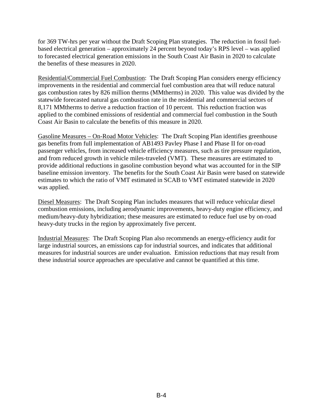for 369 TW-hrs per year without the Draft Scoping Plan strategies. The reduction in fossil fuel- based electrical generation – approximately 24 percent beyond today's RPS level – was applied to forecasted electrical generation emissions in the South Coast Air Basin in 2020 to calculate the benefits of these measures in 2020.

Residential/Commercial Fuel Combustion: The Draft Scoping Plan considers energy efficiency improvements in the residential and commercial fuel combustion area that will reduce natural gas combustion rates by 826 million therms (MMtherms) in 2020. This value was divided by the statewide forecasted natural gas combustion rate in the residential and commercial sectors of 8,171 MMtherms to derive a reduction fraction of 10 percent. This reduction fraction was applied to the combined emissions of residential and commercial fuel combustion in the South Coast Air Basin to calculate the benefits of this measure in 2020.

Gasoline Measures – On-Road Motor Vehicles: The Draft Scoping Plan identifies greenhouse gas benefits from full implementation of AB1493 Pavley Phase I and Phase II for on-road passenger vehicles, from increased vehicle efficiency measures, such as tire pressure regulation, and from reduced growth in vehicle miles-traveled (VMT). These measures are estimated to provide additional reductions in gasoline combustion beyond what was accounted for in the SIP baseline emission inventory. The benefits for the South Coast Air Basin were based on statewide estimates to which the ratio of VMT estimated in SCAB to VMT estimated statewide in 2020 was applied.

Diesel Measures: The Draft Scoping Plan includes measures that will reduce vehicular diesel combustion emissions, including aerodynamic improvements, heavy-duty engine efficiency, and medium/heavy-duty hybridization; these measures are estimated to reduce fuel use by on-road heavy-duty trucks in the region by approximately five percent.

 Industrial Measures: The Draft Scoping Plan also recommends an energy-efficiency audit for large industrial sources, an emissions cap for industrial sources, and indicates that additional measures for industrial sources are under evaluation. Emission reductions that may result from these industrial source approaches are speculative and cannot be quantified at this time.